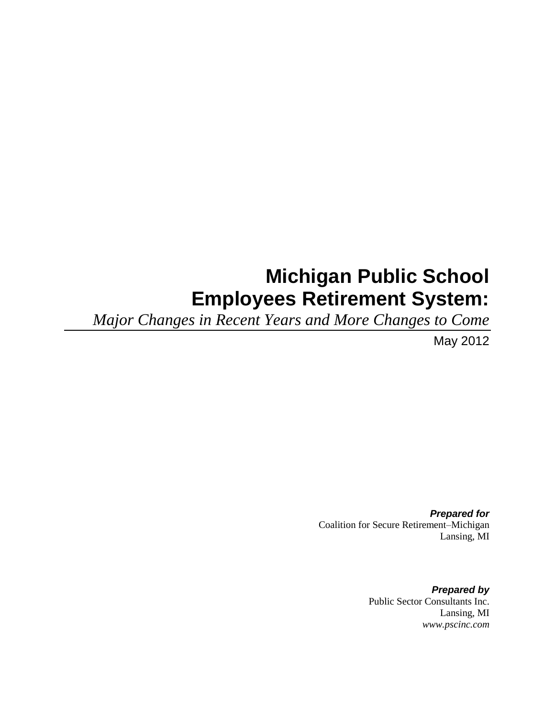# **Michigan Public School Employees Retirement System:**

*Major Changes in Recent Years and More Changes to Come*

May 2012

*Prepared for*  Coalition for Secure Retirement–Michigan Lansing, MI

> *Prepared by* Public Sector Consultants Inc. Lansing, MI *www.pscinc.com*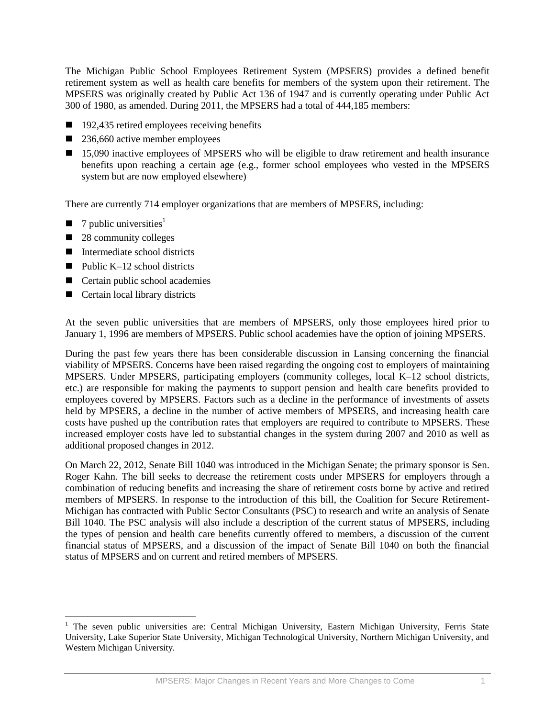The Michigan Public School Employees Retirement System (MPSERS) provides a defined benefit retirement system as well as health care benefits for members of the system upon their retirement. The MPSERS was originally created by Public Act 136 of 1947 and is currently operating under Public Act 300 of 1980, as amended. During 2011, the MPSERS had a total of 444,185 members:

- 192,435 retired employees receiving benefits
- 236,660 active member employees
- 15,090 inactive employees of MPSERS who will be eligible to draw retirement and health insurance benefits upon reaching a certain age (e.g., former school employees who vested in the MPSERS system but are now employed elsewhere)

There are currently 714 employer organizations that are members of MPSERS, including:

 $\blacksquare$  7 public universities<sup>1</sup>

l

- 28 community colleges
- Intermediate school districts
- $\blacksquare$  Public K–12 school districts
- **Certain public school academies**
- Certain local library districts

At the seven public universities that are members of MPSERS, only those employees hired prior to January 1, 1996 are members of MPSERS. Public school academies have the option of joining MPSERS.

During the past few years there has been considerable discussion in Lansing concerning the financial viability of MPSERS. Concerns have been raised regarding the ongoing cost to employers of maintaining MPSERS. Under MPSERS, participating employers (community colleges, local K–12 school districts, etc.) are responsible for making the payments to support pension and health care benefits provided to employees covered by MPSERS. Factors such as a decline in the performance of investments of assets held by MPSERS, a decline in the number of active members of MPSERS, and increasing health care costs have pushed up the contribution rates that employers are required to contribute to MPSERS. These increased employer costs have led to substantial changes in the system during 2007 and 2010 as well as additional proposed changes in 2012.

On March 22, 2012, Senate Bill 1040 was introduced in the Michigan Senate; the primary sponsor is Sen. Roger Kahn. The bill seeks to decrease the retirement costs under MPSERS for employers through a combination of reducing benefits and increasing the share of retirement costs borne by active and retired members of MPSERS. In response to the introduction of this bill, the Coalition for Secure Retirement-Michigan has contracted with Public Sector Consultants (PSC) to research and write an analysis of Senate Bill 1040. The PSC analysis will also include a description of the current status of MPSERS, including the types of pension and health care benefits currently offered to members, a discussion of the current financial status of MPSERS, and a discussion of the impact of Senate Bill 1040 on both the financial status of MPSERS and on current and retired members of MPSERS.

<sup>&</sup>lt;sup>1</sup> The seven public universities are: Central Michigan University, Eastern Michigan University, Ferris State University, Lake Superior State University, Michigan Technological University, Northern Michigan University, and Western Michigan University.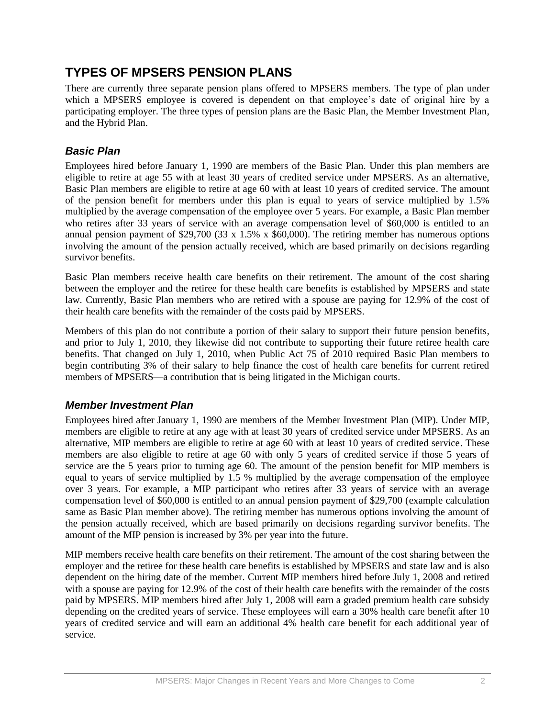## **TYPES OF MPSERS PENSION PLANS**

There are currently three separate pension plans offered to MPSERS members. The type of plan under which a MPSERS employee is covered is dependent on that employee's date of original hire by a participating employer. The three types of pension plans are the Basic Plan, the Member Investment Plan, and the Hybrid Plan.

#### *Basic Plan*

Employees hired before January 1, 1990 are members of the Basic Plan. Under this plan members are eligible to retire at age 55 with at least 30 years of credited service under MPSERS. As an alternative, Basic Plan members are eligible to retire at age 60 with at least 10 years of credited service. The amount of the pension benefit for members under this plan is equal to years of service multiplied by 1.5% multiplied by the average compensation of the employee over 5 years. For example, a Basic Plan member who retires after 33 years of service with an average compensation level of \$60,000 is entitled to an annual pension payment of \$29,700 (33 x 1.5% x \$60,000). The retiring member has numerous options involving the amount of the pension actually received, which are based primarily on decisions regarding survivor benefits.

Basic Plan members receive health care benefits on their retirement. The amount of the cost sharing between the employer and the retiree for these health care benefits is established by MPSERS and state law. Currently, Basic Plan members who are retired with a spouse are paying for 12.9% of the cost of their health care benefits with the remainder of the costs paid by MPSERS.

Members of this plan do not contribute a portion of their salary to support their future pension benefits, and prior to July 1, 2010, they likewise did not contribute to supporting their future retiree health care benefits. That changed on July 1, 2010, when Public Act 75 of 2010 required Basic Plan members to begin contributing 3% of their salary to help finance the cost of health care benefits for current retired members of MPSERS—a contribution that is being litigated in the Michigan courts.

#### *Member Investment Plan*

Employees hired after January 1, 1990 are members of the Member Investment Plan (MIP). Under MIP, members are eligible to retire at any age with at least 30 years of credited service under MPSERS. As an alternative, MIP members are eligible to retire at age 60 with at least 10 years of credited service. These members are also eligible to retire at age 60 with only 5 years of credited service if those 5 years of service are the 5 years prior to turning age 60. The amount of the pension benefit for MIP members is equal to years of service multiplied by 1.5 % multiplied by the average compensation of the employee over 3 years. For example, a MIP participant who retires after 33 years of service with an average compensation level of \$60,000 is entitled to an annual pension payment of \$29,700 (example calculation same as Basic Plan member above). The retiring member has numerous options involving the amount of the pension actually received, which are based primarily on decisions regarding survivor benefits. The amount of the MIP pension is increased by 3% per year into the future.

MIP members receive health care benefits on their retirement. The amount of the cost sharing between the employer and the retiree for these health care benefits is established by MPSERS and state law and is also dependent on the hiring date of the member. Current MIP members hired before July 1, 2008 and retired with a spouse are paying for 12.9% of the cost of their health care benefits with the remainder of the costs paid by MPSERS. MIP members hired after July 1, 2008 will earn a graded premium health care subsidy depending on the credited years of service. These employees will earn a 30% health care benefit after 10 years of credited service and will earn an additional 4% health care benefit for each additional year of service.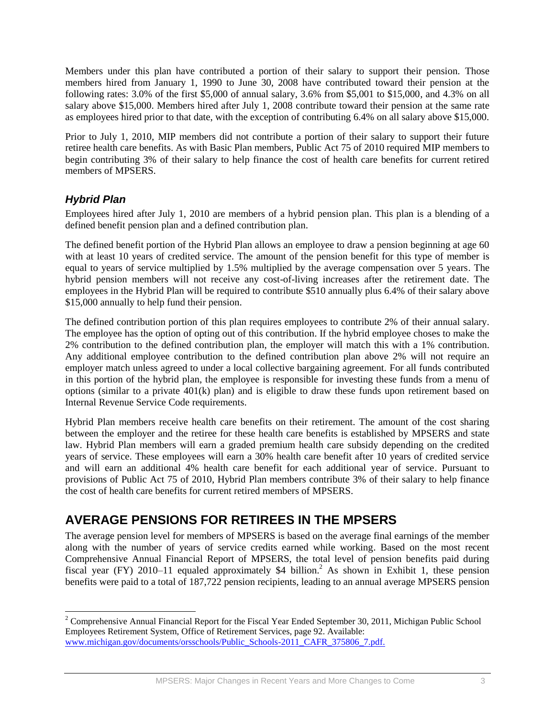Members under this plan have contributed a portion of their salary to support their pension. Those members hired from January 1, 1990 to June 30, 2008 have contributed toward their pension at the following rates: 3.0% of the first \$5,000 of annual salary, 3.6% from \$5,001 to \$15,000, and 4.3% on all salary above \$15,000. Members hired after July 1, 2008 contribute toward their pension at the same rate as employees hired prior to that date, with the exception of contributing 6.4% on all salary above \$15,000.

Prior to July 1, 2010, MIP members did not contribute a portion of their salary to support their future retiree health care benefits. As with Basic Plan members, Public Act 75 of 2010 required MIP members to begin contributing 3% of their salary to help finance the cost of health care benefits for current retired members of MPSERS.

## *Hybrid Plan*

l

Employees hired after July 1, 2010 are members of a hybrid pension plan. This plan is a blending of a defined benefit pension plan and a defined contribution plan.

The defined benefit portion of the Hybrid Plan allows an employee to draw a pension beginning at age 60 with at least 10 years of credited service. The amount of the pension benefit for this type of member is equal to years of service multiplied by 1.5% multiplied by the average compensation over 5 years. The hybrid pension members will not receive any cost-of-living increases after the retirement date. The employees in the Hybrid Plan will be required to contribute \$510 annually plus 6.4% of their salary above \$15,000 annually to help fund their pension.

The defined contribution portion of this plan requires employees to contribute 2% of their annual salary. The employee has the option of opting out of this contribution. If the hybrid employee choses to make the 2% contribution to the defined contribution plan, the employer will match this with a 1% contribution. Any additional employee contribution to the defined contribution plan above 2% will not require an employer match unless agreed to under a local collective bargaining agreement. For all funds contributed in this portion of the hybrid plan, the employee is responsible for investing these funds from a menu of options (similar to a private  $401(k)$  plan) and is eligible to draw these funds upon retirement based on Internal Revenue Service Code requirements.

Hybrid Plan members receive health care benefits on their retirement. The amount of the cost sharing between the employer and the retiree for these health care benefits is established by MPSERS and state law. Hybrid Plan members will earn a graded premium health care subsidy depending on the credited years of service. These employees will earn a 30% health care benefit after 10 years of credited service and will earn an additional 4% health care benefit for each additional year of service. Pursuant to provisions of Public Act 75 of 2010, Hybrid Plan members contribute 3% of their salary to help finance the cost of health care benefits for current retired members of MPSERS.

## **AVERAGE PENSIONS FOR RETIREES IN THE MPSERS**

The average pension level for members of MPSERS is based on the average final earnings of the member along with the number of years of service credits earned while working. Based on the most recent Comprehensive Annual Financial Report of MPSERS, the total level of pension benefits paid during fiscal year (FY) 2010–11 equaled approximately \$4 billion. <sup>2</sup> As shown in Exhibit 1, these pension benefits were paid to a total of 187,722 pension recipients, leading to an annual average MPSERS pension

<sup>&</sup>lt;sup>2</sup> Comprehensive Annual Financial Report for the Fiscal Year Ended September 30, 2011, Michigan Public School Employees Retirement System, Office of Retirement Services, page 92. Available: www.michigan.gov/documents/orsschools/Public\_Schools-2011\_CAFR\_375806\_7.pdf.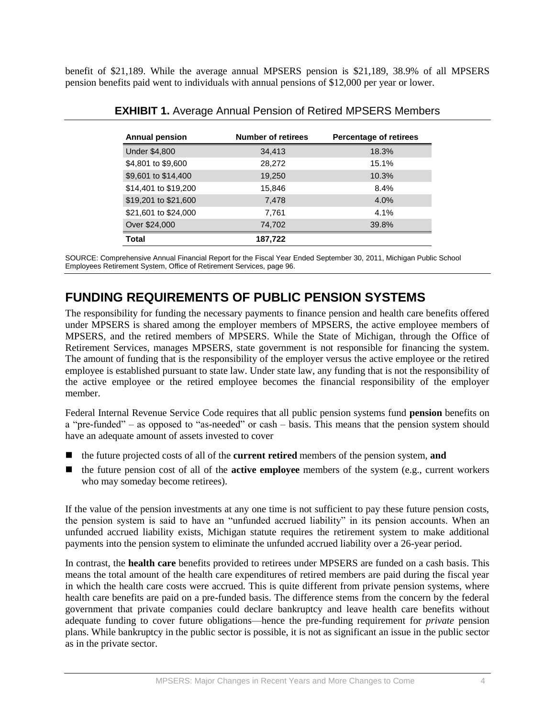benefit of \$21,189. While the average annual MPSERS pension is \$21,189, 38.9% of all MPSERS pension benefits paid went to individuals with annual pensions of \$12,000 per year or lower.

| <b>Annual pension</b> | <b>Number of retirees</b> | <b>Percentage of retirees</b> |
|-----------------------|---------------------------|-------------------------------|
| <b>Under \$4,800</b>  | 34,413                    | 18.3%                         |
| \$4,801 to \$9,600    | 28,272                    | 15.1%                         |
| \$9,601 to \$14,400   | 19,250                    | 10.3%                         |
| \$14,401 to \$19,200  | 15,846                    | 8.4%                          |
| \$19,201 to \$21,600  | 7,478                     | 4.0%                          |
| \$21,601 to \$24,000  | 7,761                     | $4.1\%$                       |
| Over \$24,000         | 74,702                    | 39.8%                         |
| Total                 | 187,722                   |                               |

|  |  |  | <b>EXHIBIT 1.</b> Average Annual Pension of Retired MPSERS Members |
|--|--|--|--------------------------------------------------------------------|
|--|--|--|--------------------------------------------------------------------|

SOURCE: Comprehensive Annual Financial Report for the Fiscal Year Ended September 30, 2011, Michigan Public School Employees Retirement System, Office of Retirement Services, page 96.

## **FUNDING REQUIREMENTS OF PUBLIC PENSION SYSTEMS**

The responsibility for funding the necessary payments to finance pension and health care benefits offered under MPSERS is shared among the employer members of MPSERS, the active employee members of MPSERS, and the retired members of MPSERS. While the State of Michigan, through the Office of Retirement Services, manages MPSERS, state government is not responsible for financing the system. The amount of funding that is the responsibility of the employer versus the active employee or the retired employee is established pursuant to state law. Under state law, any funding that is not the responsibility of the active employee or the retired employee becomes the financial responsibility of the employer member.

Federal Internal Revenue Service Code requires that all public pension systems fund **pension** benefits on a "pre-funded" – as opposed to "as-needed" or cash – basis. This means that the pension system should have an adequate amount of assets invested to cover

- the future projected costs of all of the **current retired** members of the pension system, **and**
- the future pension cost of all of the **active employee** members of the system (e.g., current workers who may someday become retirees).

If the value of the pension investments at any one time is not sufficient to pay these future pension costs, the pension system is said to have an "unfunded accrued liability" in its pension accounts. When an unfunded accrued liability exists, Michigan statute requires the retirement system to make additional payments into the pension system to eliminate the unfunded accrued liability over a 26-year period.

In contrast, the **health care** benefits provided to retirees under MPSERS are funded on a cash basis. This means the total amount of the health care expenditures of retired members are paid during the fiscal year in which the health care costs were accrued. This is quite different from private pension systems, where health care benefits are paid on a pre-funded basis. The difference stems from the concern by the federal government that private companies could declare bankruptcy and leave health care benefits without adequate funding to cover future obligations—hence the pre-funding requirement for *private* pension plans. While bankruptcy in the public sector is possible, it is not as significant an issue in the public sector as in the private sector.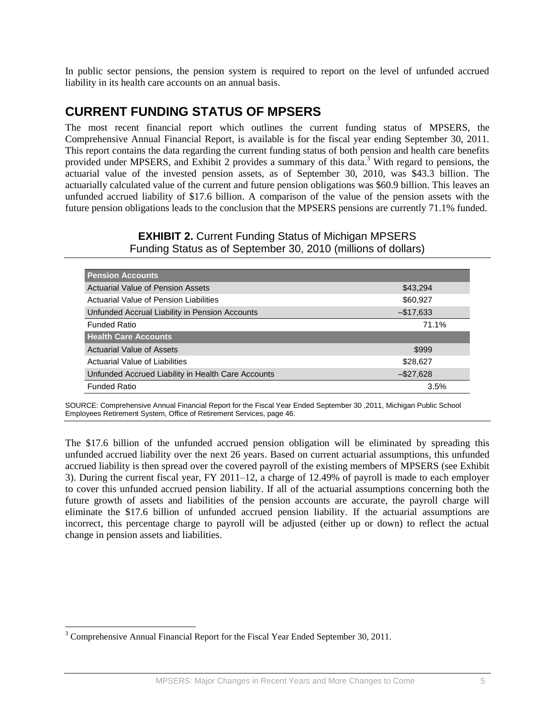In public sector pensions, the pension system is required to report on the level of unfunded accrued liability in its health care accounts on an annual basis.

## **CURRENT FUNDING STATUS OF MPSERS**

The most recent financial report which outlines the current funding status of MPSERS, the Comprehensive Annual Financial Report, is available is for the fiscal year ending September 30, 2011. This report contains the data regarding the current funding status of both pension and health care benefits provided under MPSERS, and Exhibit 2 provides a summary of this data.<sup>3</sup> With regard to pensions, the actuarial value of the invested pension assets, as of September 30, 2010, was \$43.3 billion. The actuarially calculated value of the current and future pension obligations was \$60.9 billion. This leaves an unfunded accrued liability of \$17.6 billion. A comparison of the value of the pension assets with the future pension obligations leads to the conclusion that the MPSERS pensions are currently 71.1% funded.

#### **EXHIBIT 2.** Current Funding Status of Michigan MPSERS Funding Status as of September 30, 2010 (millions of dollars)

| <b>Pension Accounts</b>                            |              |
|----------------------------------------------------|--------------|
| Actuarial Value of Pension Assets                  | \$43,294     |
| Actuarial Value of Pension Liabilities             | \$60,927     |
| Unfunded Accrual Liability in Pension Accounts     | $-$17,633$   |
| <b>Funded Ratio</b>                                | 71.1%        |
| <b>Health Care Accounts</b>                        |              |
| Actuarial Value of Assets                          | \$999        |
| Actuarial Value of Liabilities                     | \$28,627     |
| Unfunded Accrued Liability in Health Care Accounts | $-$ \$27,628 |
| <b>Funded Ratio</b>                                | 3.5%         |

SOURCE: Comprehensive Annual Financial Report for the Fiscal Year Ended September 30 ,2011, Michigan Public School Employees Retirement System, Office of Retirement Services, page 46.

The \$17.6 billion of the unfunded accrued pension obligation will be eliminated by spreading this unfunded accrued liability over the next 26 years. Based on current actuarial assumptions, this unfunded accrued liability is then spread over the covered payroll of the existing members of MPSERS (see Exhibit 3). During the current fiscal year, FY 2011–12, a charge of 12.49% of payroll is made to each employer to cover this unfunded accrued pension liability. If all of the actuarial assumptions concerning both the future growth of assets and liabilities of the pension accounts are accurate, the payroll charge will eliminate the \$17.6 billion of unfunded accrued pension liability. If the actuarial assumptions are incorrect, this percentage charge to payroll will be adjusted (either up or down) to reflect the actual change in pension assets and liabilities.

 $\overline{\phantom{a}}$ 

<sup>&</sup>lt;sup>3</sup> Comprehensive Annual Financial Report for the Fiscal Year Ended September 30, 2011.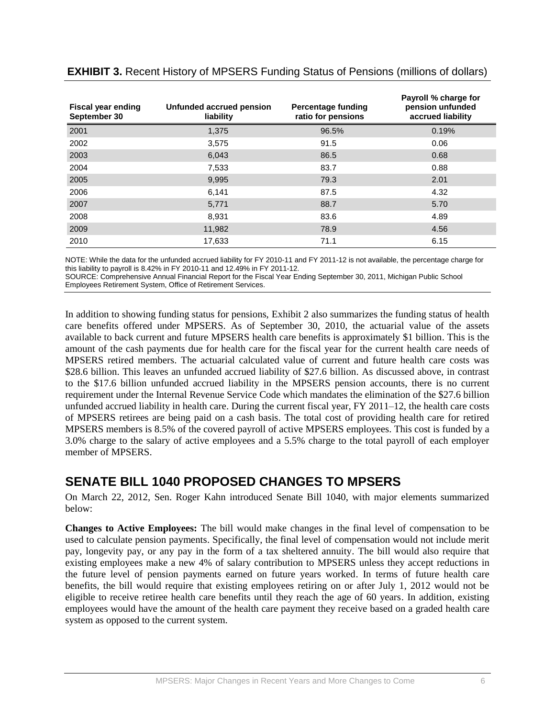| <b>Fiscal year ending</b><br>September 30 | Unfunded accrued pension<br>liability | Percentage funding<br>ratio for pensions | Payroll % charge for<br>pension unfunded<br>accrued liability |
|-------------------------------------------|---------------------------------------|------------------------------------------|---------------------------------------------------------------|
| 2001                                      | 1,375                                 | 96.5%                                    | 0.19%                                                         |
| 2002                                      | 3,575                                 | 91.5                                     | 0.06                                                          |
| 2003                                      | 6,043                                 | 86.5                                     | 0.68                                                          |
| 2004                                      | 7,533                                 | 83.7                                     | 0.88                                                          |
| 2005                                      | 9,995                                 | 79.3                                     | 2.01                                                          |
| 2006                                      | 6,141                                 | 87.5                                     | 4.32                                                          |
| 2007                                      | 5,771                                 | 88.7                                     | 5.70                                                          |
| 2008                                      | 8,931                                 | 83.6                                     | 4.89                                                          |
| 2009                                      | 11,982                                | 78.9                                     | 4.56                                                          |
| 2010                                      | 17,633                                | 71.1                                     | 6.15                                                          |

#### **EXHIBIT 3.** Recent History of MPSERS Funding Status of Pensions (millions of dollars)

NOTE: While the data for the unfunded accrued liability for FY 2010-11 and FY 2011-12 is not available, the percentage charge for this liability to payroll is 8.42% in FY 2010-11 and 12.49% in FY 2011-12.

SOURCE: Comprehensive Annual Financial Report for the Fiscal Year Ending September 30, 2011, Michigan Public School Employees Retirement System, Office of Retirement Services.

In addition to showing funding status for pensions, Exhibit 2 also summarizes the funding status of health care benefits offered under MPSERS. As of September 30, 2010, the actuarial value of the assets available to back current and future MPSERS health care benefits is approximately \$1 billion. This is the amount of the cash payments due for health care for the fiscal year for the current health care needs of MPSERS retired members. The actuarial calculated value of current and future health care costs was \$28.6 billion. This leaves an unfunded accrued liability of \$27.6 billion. As discussed above, in contrast to the \$17.6 billion unfunded accrued liability in the MPSERS pension accounts, there is no current requirement under the Internal Revenue Service Code which mandates the elimination of the \$27.6 billion unfunded accrued liability in health care. During the current fiscal year, FY 2011–12, the health care costs of MPSERS retirees are being paid on a cash basis. The total cost of providing health care for retired MPSERS members is 8.5% of the covered payroll of active MPSERS employees. This cost is funded by a 3.0% charge to the salary of active employees and a 5.5% charge to the total payroll of each employer member of MPSERS.

## **SENATE BILL 1040 PROPOSED CHANGES TO MPSERS**

On March 22, 2012, Sen. Roger Kahn introduced Senate Bill 1040, with major elements summarized below:

**Changes to Active Employees:** The bill would make changes in the final level of compensation to be used to calculate pension payments. Specifically, the final level of compensation would not include merit pay, longevity pay, or any pay in the form of a tax sheltered annuity. The bill would also require that existing employees make a new 4% of salary contribution to MPSERS unless they accept reductions in the future level of pension payments earned on future years worked. In terms of future health care benefits, the bill would require that existing employees retiring on or after July 1, 2012 would not be eligible to receive retiree health care benefits until they reach the age of 60 years. In addition, existing employees would have the amount of the health care payment they receive based on a graded health care system as opposed to the current system.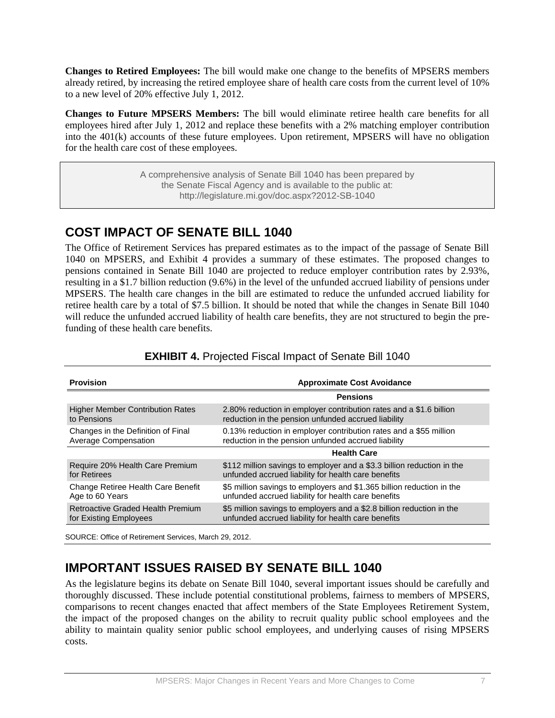**Changes to Retired Employees:** The bill would make one change to the benefits of MPSERS members already retired, by increasing the retired employee share of health care costs from the current level of 10% to a new level of 20% effective July 1, 2012.

**Changes to Future MPSERS Members:** The bill would eliminate retiree health care benefits for all employees hired after July 1, 2012 and replace these benefits with a 2% matching employer contribution into the 401(k) accounts of these future employees. Upon retirement, MPSERS will have no obligation for the health care cost of these employees.

> A comprehensive analysis of Senate Bill 1040 has been prepared by the Senate Fiscal Agency and is available to the public at: http://legislature.mi.gov/doc.aspx?2012-SB-1040

## **COST IMPACT OF SENATE BILL 1040**

The Office of Retirement Services has prepared estimates as to the impact of the passage of Senate Bill 1040 on MPSERS, and Exhibit 4 provides a summary of these estimates. The proposed changes to pensions contained in Senate Bill 1040 are projected to reduce employer contribution rates by 2.93%, resulting in a \$1.7 billion reduction (9.6%) in the level of the unfunded accrued liability of pensions under MPSERS. The health care changes in the bill are estimated to reduce the unfunded accrued liability for retiree health care by a total of \$7.5 billion. It should be noted that while the changes in Senate Bill 1040 will reduce the unfunded accrued liability of health care benefits, they are not structured to begin the prefunding of these health care benefits.

| <b>Approximate Cost Avoidance</b>                                                                                             |  |
|-------------------------------------------------------------------------------------------------------------------------------|--|
| <b>Pensions</b>                                                                                                               |  |
| 2.80% reduction in employer contribution rates and a \$1.6 billion<br>reduction in the pension unfunded accrued liability     |  |
| 0.13% reduction in employer contribution rates and a \$55 million<br>reduction in the pension unfunded accrued liability      |  |
| <b>Health Care</b>                                                                                                            |  |
| \$112 million savings to employer and a \$3.3 billion reduction in the<br>unfunded accrued liability for health care benefits |  |
| \$5 million savings to employers and \$1.365 billion reduction in the<br>unfunded accrued liability for health care benefits  |  |
| \$5 million savings to employers and a \$2.8 billion reduction in the<br>unfunded accrued liability for health care benefits  |  |
|                                                                                                                               |  |

#### **EXHIBIT 4. Projected Fiscal Impact of Senate Bill 1040**

SOURCE: Office of Retirement Services, March 29, 2012.

## **IMPORTANT ISSUES RAISED BY SENATE BILL 1040**

As the legislature begins its debate on Senate Bill 1040, several important issues should be carefully and thoroughly discussed. These include potential constitutional problems, fairness to members of MPSERS, comparisons to recent changes enacted that affect members of the State Employees Retirement System, the impact of the proposed changes on the ability to recruit quality public school employees and the ability to maintain quality senior public school employees, and underlying causes of rising MPSERS costs.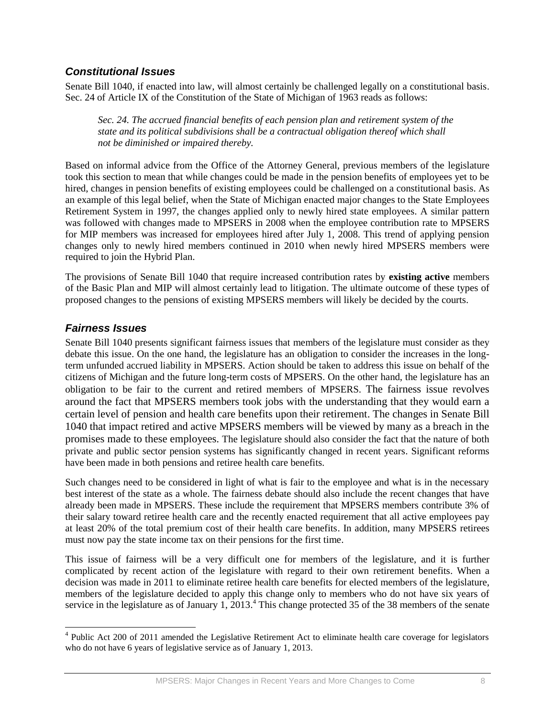#### *Constitutional Issues*

Senate Bill 1040, if enacted into law, will almost certainly be challenged legally on a constitutional basis. Sec. 24 of Article IX of the Constitution of the State of Michigan of 1963 reads as follows:

*Sec. 24. The accrued financial benefits of each pension plan and retirement system of the state and its political subdivisions shall be a contractual obligation thereof which shall not be diminished or impaired thereby.*

Based on informal advice from the Office of the Attorney General, previous members of the legislature took this section to mean that while changes could be made in the pension benefits of employees yet to be hired, changes in pension benefits of existing employees could be challenged on a constitutional basis. As an example of this legal belief, when the State of Michigan enacted major changes to the State Employees Retirement System in 1997, the changes applied only to newly hired state employees. A similar pattern was followed with changes made to MPSERS in 2008 when the employee contribution rate to MPSERS for MIP members was increased for employees hired after July 1, 2008. This trend of applying pension changes only to newly hired members continued in 2010 when newly hired MPSERS members were required to join the Hybrid Plan.

The provisions of Senate Bill 1040 that require increased contribution rates by **existing active** members of the Basic Plan and MIP will almost certainly lead to litigation. The ultimate outcome of these types of proposed changes to the pensions of existing MPSERS members will likely be decided by the courts.

#### *Fairness Issues*

l

Senate Bill 1040 presents significant fairness issues that members of the legislature must consider as they debate this issue. On the one hand, the legislature has an obligation to consider the increases in the longterm unfunded accrued liability in MPSERS. Action should be taken to address this issue on behalf of the citizens of Michigan and the future long-term costs of MPSERS. On the other hand, the legislature has an obligation to be fair to the current and retired members of MPSERS. The fairness issue revolves around the fact that MPSERS members took jobs with the understanding that they would earn a certain level of pension and health care benefits upon their retirement. The changes in Senate Bill 1040 that impact retired and active MPSERS members will be viewed by many as a breach in the promises made to these employees. The legislature should also consider the fact that the nature of both private and public sector pension systems has significantly changed in recent years. Significant reforms have been made in both pensions and retiree health care benefits.

Such changes need to be considered in light of what is fair to the employee and what is in the necessary best interest of the state as a whole. The fairness debate should also include the recent changes that have already been made in MPSERS. These include the requirement that MPSERS members contribute 3% of their salary toward retiree health care and the recently enacted requirement that all active employees pay at least 20% of the total premium cost of their health care benefits. In addition, many MPSERS retirees must now pay the state income tax on their pensions for the first time.

This issue of fairness will be a very difficult one for members of the legislature, and it is further complicated by recent action of the legislature with regard to their own retirement benefits. When a decision was made in 2011 to eliminate retiree health care benefits for elected members of the legislature, members of the legislature decided to apply this change only to members who do not have six years of service in the legislature as of January 1, 2013.<sup>4</sup> This change protected 35 of the 38 members of the senate

<sup>&</sup>lt;sup>4</sup> Public Act 200 of 2011 amended the Legislative Retirement Act to eliminate health care coverage for legislators who do not have 6 years of legislative service as of January 1, 2013.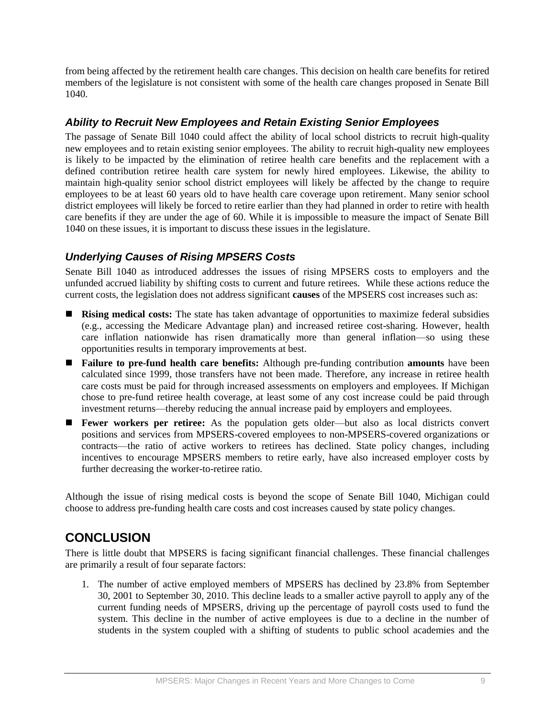from being affected by the retirement health care changes. This decision on health care benefits for retired members of the legislature is not consistent with some of the health care changes proposed in Senate Bill 1040.

## *Ability to Recruit New Employees and Retain Existing Senior Employees*

The passage of Senate Bill 1040 could affect the ability of local school districts to recruit high-quality new employees and to retain existing senior employees. The ability to recruit high-quality new employees is likely to be impacted by the elimination of retiree health care benefits and the replacement with a defined contribution retiree health care system for newly hired employees. Likewise, the ability to maintain high-quality senior school district employees will likely be affected by the change to require employees to be at least 60 years old to have health care coverage upon retirement. Many senior school district employees will likely be forced to retire earlier than they had planned in order to retire with health care benefits if they are under the age of 60. While it is impossible to measure the impact of Senate Bill 1040 on these issues, it is important to discuss these issues in the legislature.

## *Underlying Causes of Rising MPSERS Costs*

Senate Bill 1040 as introduced addresses the issues of rising MPSERS costs to employers and the unfunded accrued liability by shifting costs to current and future retirees. While these actions reduce the current costs, the legislation does not address significant **causes** of the MPSERS cost increases such as:

- **Rising medical costs:** The state has taken advantage of opportunities to maximize federal subsidies (e.g., accessing the Medicare Advantage plan) and increased retiree cost-sharing. However, health care inflation nationwide has risen dramatically more than general inflation—so using these opportunities results in temporary improvements at best.
- **Failure to pre-fund health care benefits:** Although pre-funding contribution **amounts** have been calculated since 1999, those transfers have not been made. Therefore, any increase in retiree health care costs must be paid for through increased assessments on employers and employees. If Michigan chose to pre-fund retiree health coverage, at least some of any cost increase could be paid through investment returns—thereby reducing the annual increase paid by employers and employees.
- **Fewer workers per retiree:** As the population gets older—but also as local districts convert positions and services from MPSERS-covered employees to non-MPSERS-covered organizations or contracts—the ratio of active workers to retirees has declined. State policy changes, including incentives to encourage MPSERS members to retire early, have also increased employer costs by further decreasing the worker-to-retiree ratio.

Although the issue of rising medical costs is beyond the scope of Senate Bill 1040, Michigan could choose to address pre-funding health care costs and cost increases caused by state policy changes.

## **CONCLUSION**

There is little doubt that MPSERS is facing significant financial challenges. These financial challenges are primarily a result of four separate factors:

1. The number of active employed members of MPSERS has declined by 23.8% from September 30, 2001 to September 30, 2010. This decline leads to a smaller active payroll to apply any of the current funding needs of MPSERS, driving up the percentage of payroll costs used to fund the system. This decline in the number of active employees is due to a decline in the number of students in the system coupled with a shifting of students to public school academies and the